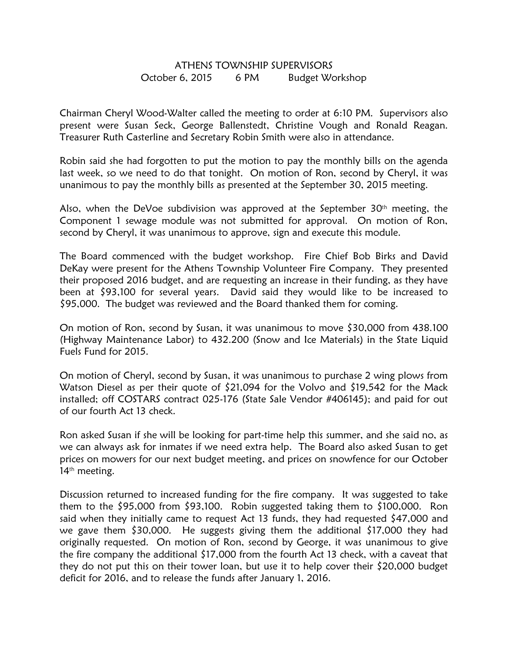## ATHENS TOWNSHIP SUPERVISORS October 6, 2015 6 PM Budget Workshop

Chairman Cheryl Wood-Walter called the meeting to order at 6:10 PM. Supervisors also present were Susan Seck, George Ballenstedt, Christine Vough and Ronald Reagan. Treasurer Ruth Casterline and Secretary Robin Smith were also in attendance.

Robin said she had forgotten to put the motion to pay the monthly bills on the agenda last week, so we need to do that tonight. On motion of Ron, second by Cheryl, it was unanimous to pay the monthly bills as presented at the September 30, 2015 meeting.

Also, when the DeVoe subdivision was approved at the September  $30<sup>th</sup>$  meeting, the Component 1 sewage module was not submitted for approval. On motion of Ron, second by Cheryl, it was unanimous to approve, sign and execute this module.

The Board commenced with the budget workshop. Fire Chief Bob Birks and David DeKay were present for the Athens Township Volunteer Fire Company. They presented their proposed 2016 budget, and are requesting an increase in their funding, as they have been at \$93,100 for several years. David said they would like to be increased to \$95,000. The budget was reviewed and the Board thanked them for coming.

On motion of Ron, second by Susan, it was unanimous to move \$30,000 from 438.100 (Highway Maintenance Labor) to 432.200 (Snow and Ice Materials) in the State Liquid Fuels Fund for 2015.

On motion of Cheryl, second by Susan, it was unanimous to purchase 2 wing plows from Watson Diesel as per their quote of \$21,094 for the Volvo and \$19,542 for the Mack installed; off COSTARS contract 025-176 (State Sale Vendor #406145); and paid for out of our fourth Act 13 check.

Ron asked Susan if she will be looking for part-time help this summer, and she said no, as we can always ask for inmates if we need extra help. The Board also asked Susan to get prices on mowers for our next budget meeting, and prices on snowfence for our October 14<sup>th</sup> meeting.

Discussion returned to increased funding for the fire company. It was suggested to take them to the \$95,000 from \$93,100. Robin suggested taking them to \$100,000. Ron said when they initially came to request Act 13 funds, they had requested \$47,000 and we gave them \$30,000. He suggests giving them the additional \$17,000 they had originally requested. On motion of Ron, second by George, it was unanimous to give the fire company the additional \$17,000 from the fourth Act 13 check, with a caveat that they do not put this on their tower loan, but use it to help cover their \$20,000 budget deficit for 2016, and to release the funds after January 1, 2016.